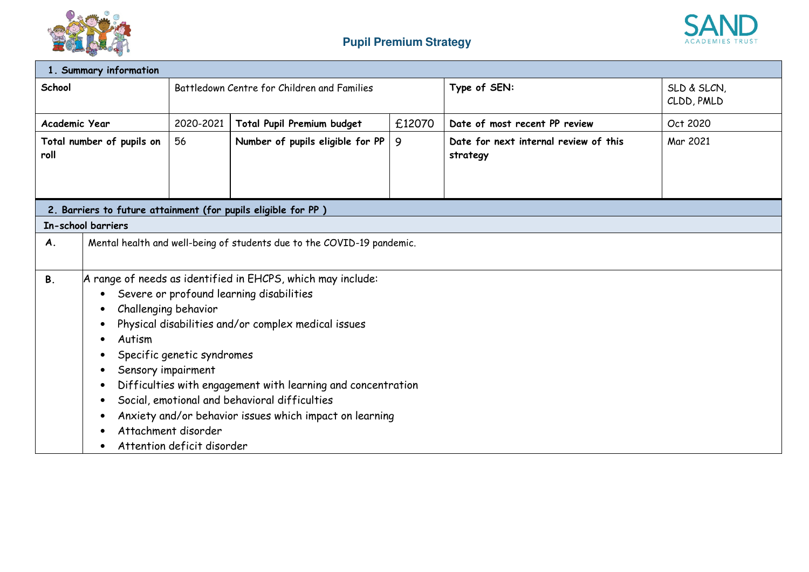



| 1. Summary information            |                                                                        |                                             |                                                               |              |                                                   |          |
|-----------------------------------|------------------------------------------------------------------------|---------------------------------------------|---------------------------------------------------------------|--------------|---------------------------------------------------|----------|
| School                            |                                                                        | Battledown Centre for Children and Families |                                                               | Type of SEN: | SLD & SLCN,<br>CLDD, PMLD                         |          |
| Academic Year                     |                                                                        | 2020-2021                                   | Total Pupil Premium budget<br>£12070                          |              | Date of most recent PP review                     | Oct 2020 |
| Total number of pupils on<br>roll |                                                                        | 56                                          | Number of pupils eligible for PP                              | 9            | Date for next internal review of this<br>strategy | Mar 2021 |
|                                   |                                                                        |                                             |                                                               |              |                                                   |          |
|                                   | In-school barriers                                                     |                                             | 2. Barriers to future attainment (for pupils eligible for PP) |              |                                                   |          |
|                                   |                                                                        |                                             |                                                               |              |                                                   |          |
| A.                                | Mental health and well-being of students due to the COVID-19 pandemic. |                                             |                                                               |              |                                                   |          |
| <b>B.</b>                         |                                                                        |                                             | A range of needs as identified in EHCPS, which may include:   |              |                                                   |          |
|                                   | Severe or profound learning disabilities                               |                                             |                                                               |              |                                                   |          |
|                                   | Challenging behavior                                                   |                                             |                                                               |              |                                                   |          |
|                                   | Physical disabilities and/or complex medical issues                    |                                             |                                                               |              |                                                   |          |
|                                   | Autism                                                                 |                                             |                                                               |              |                                                   |          |
|                                   | Specific genetic syndromes                                             |                                             |                                                               |              |                                                   |          |
|                                   | Sensory impairment                                                     |                                             |                                                               |              |                                                   |          |
|                                   | Difficulties with engagement with learning and concentration           |                                             |                                                               |              |                                                   |          |
|                                   | Social, emotional and behavioral difficulties                          |                                             |                                                               |              |                                                   |          |
|                                   | Anxiety and/or behavior issues which impact on learning                |                                             |                                                               |              |                                                   |          |
|                                   | Attachment disorder                                                    |                                             |                                                               |              |                                                   |          |
|                                   | Attention deficit disorder                                             |                                             |                                                               |              |                                                   |          |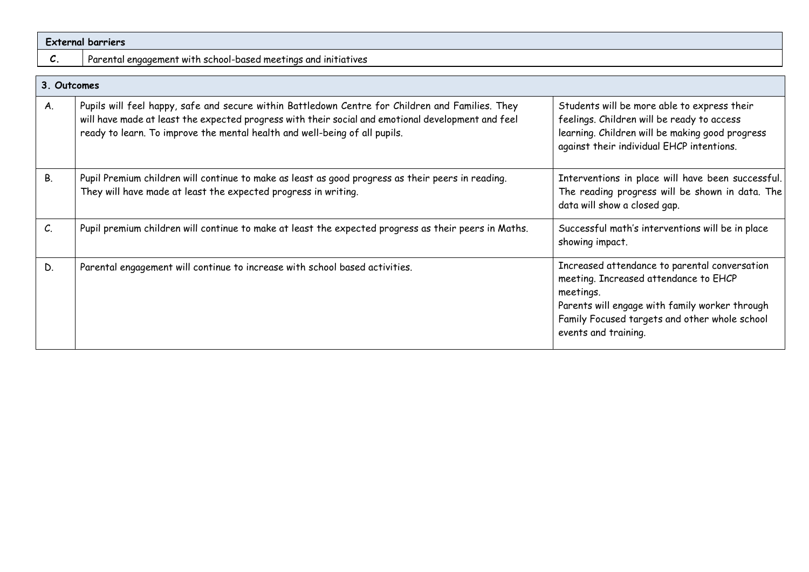| <b>External barriers</b> |                                                                                                                                                                                                                                                                                      |                                                                                                                                                                                           |  |  |  |  |
|--------------------------|--------------------------------------------------------------------------------------------------------------------------------------------------------------------------------------------------------------------------------------------------------------------------------------|-------------------------------------------------------------------------------------------------------------------------------------------------------------------------------------------|--|--|--|--|
| C.                       | Parental engagement with school-based meetings and initiatives                                                                                                                                                                                                                       |                                                                                                                                                                                           |  |  |  |  |
| 3. Outcomes              |                                                                                                                                                                                                                                                                                      |                                                                                                                                                                                           |  |  |  |  |
| Α.                       | Pupils will feel happy, safe and secure within Battledown Centre for Children and Families. They<br>will have made at least the expected progress with their social and emotional development and feel<br>ready to learn. To improve the mental health and well-being of all pupils. | Students will be more able to express their<br>feelings. Children will be ready to access<br>learning. Children will be making good progress<br>against their individual EHCP intentions. |  |  |  |  |

| В. | Pupil Premium children will continue to make as least as good progress as their peers in reading.<br>They will have made at least the expected progress in writing. | Interventions in place will have been successful.<br>The reading progress will be shown in data. The<br>data will show a closed gap.                                                                                           |
|----|---------------------------------------------------------------------------------------------------------------------------------------------------------------------|--------------------------------------------------------------------------------------------------------------------------------------------------------------------------------------------------------------------------------|
| C. | Pupil premium children will continue to make at least the expected progress as their peers in Maths.                                                                | Successful math's interventions will be in place<br>showing impact.                                                                                                                                                            |
| D. | Parental engagement will continue to increase with school based activities.                                                                                         | Increased attendance to parental conversation<br>meeting. Increased attendance to EHCP<br>meetings.<br>Parents will engage with family worker through<br>Family Focused targets and other whole school<br>events and training. |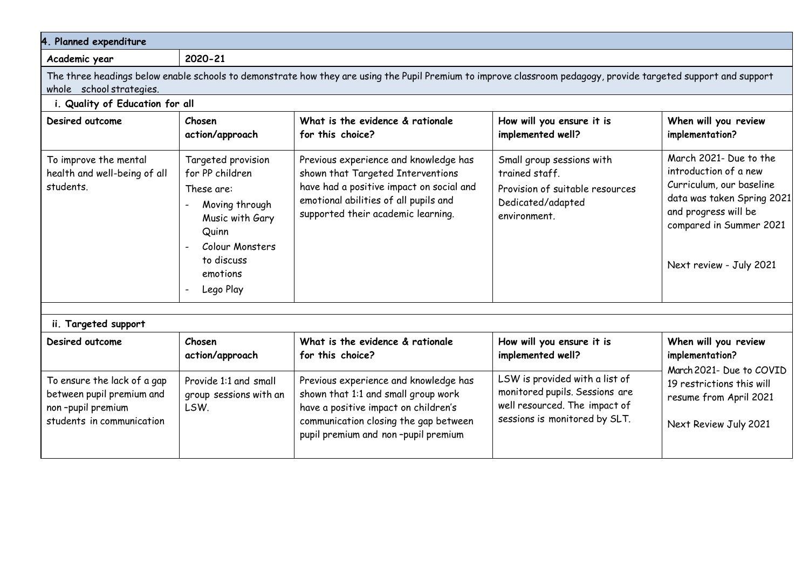| 4. Planned expenditure                                                                                                                                                                                                                                        |                                                         |                                                                                                                                                                                                       |                                                                                                                                    |                                                                                                                                                                                         |  |  |  |  |
|---------------------------------------------------------------------------------------------------------------------------------------------------------------------------------------------------------------------------------------------------------------|---------------------------------------------------------|-------------------------------------------------------------------------------------------------------------------------------------------------------------------------------------------------------|------------------------------------------------------------------------------------------------------------------------------------|-----------------------------------------------------------------------------------------------------------------------------------------------------------------------------------------|--|--|--|--|
| Academic year                                                                                                                                                                                                                                                 | 2020-21                                                 |                                                                                                                                                                                                       |                                                                                                                                    |                                                                                                                                                                                         |  |  |  |  |
| The three headings below enable schools to demonstrate how they are using the Pupil Premium to improve classroom pedagogy, provide targeted support and support<br>whole school strategies.                                                                   |                                                         |                                                                                                                                                                                                       |                                                                                                                                    |                                                                                                                                                                                         |  |  |  |  |
|                                                                                                                                                                                                                                                               | i. Quality of Education for all                         |                                                                                                                                                                                                       |                                                                                                                                    |                                                                                                                                                                                         |  |  |  |  |
| Desired outcome                                                                                                                                                                                                                                               | Chosen<br>action/approach                               | What is the evidence & rationale<br>for this choice?                                                                                                                                                  | How will you ensure it is<br>implemented well?                                                                                     | When will you review<br>implementation?                                                                                                                                                 |  |  |  |  |
| To improve the mental<br>Targeted provision<br>health and well-being of all<br>for PP children<br>students.<br>These are:<br>Moving through<br>Music with Gary<br>Quinn<br>Colour Monsters<br>$\overline{\phantom{a}}$<br>to discuss<br>emotions<br>Lego Play |                                                         | Previous experience and knowledge has<br>shown that Targeted Interventions<br>have had a positive impact on social and<br>emotional abilities of all pupils and<br>supported their academic learning. | Small group sessions with<br>trained staff.<br>Provision of suitable resources<br>Dedicated/adapted<br>environment.                | March 2021- Due to the<br>introduction of a new<br>Curriculum, our baseline<br>data was taken Spring 2021<br>and progress will be<br>compared in Summer 2021<br>Next review - July 2021 |  |  |  |  |
| ii. Targeted support                                                                                                                                                                                                                                          |                                                         |                                                                                                                                                                                                       |                                                                                                                                    |                                                                                                                                                                                         |  |  |  |  |
| Desired outcome                                                                                                                                                                                                                                               | Chosen<br>action/approach                               | What is the evidence & rationale<br>for this choice?                                                                                                                                                  | How will you ensure it is<br>implemented well?                                                                                     | When will you review<br>implementation?                                                                                                                                                 |  |  |  |  |
| To ensure the lack of a gap<br>between pupil premium and<br>non-pupil premium<br>students in communication                                                                                                                                                    | Provide 1:1 and small<br>group sessions with an<br>LSW. | Previous experience and knowledge has<br>shown that 1:1 and small group work<br>have a positive impact on children's<br>communication closing the gap between<br>pupil premium and non-pupil premium  | LSW is provided with a list of<br>monitored pupils. Sessions are<br>well resourced. The impact of<br>sessions is monitored by SLT. | March 2021- Due to COVID<br>19 restrictions this will<br>resume from April 2021<br>Next Review July 2021                                                                                |  |  |  |  |
|                                                                                                                                                                                                                                                               |                                                         |                                                                                                                                                                                                       |                                                                                                                                    |                                                                                                                                                                                         |  |  |  |  |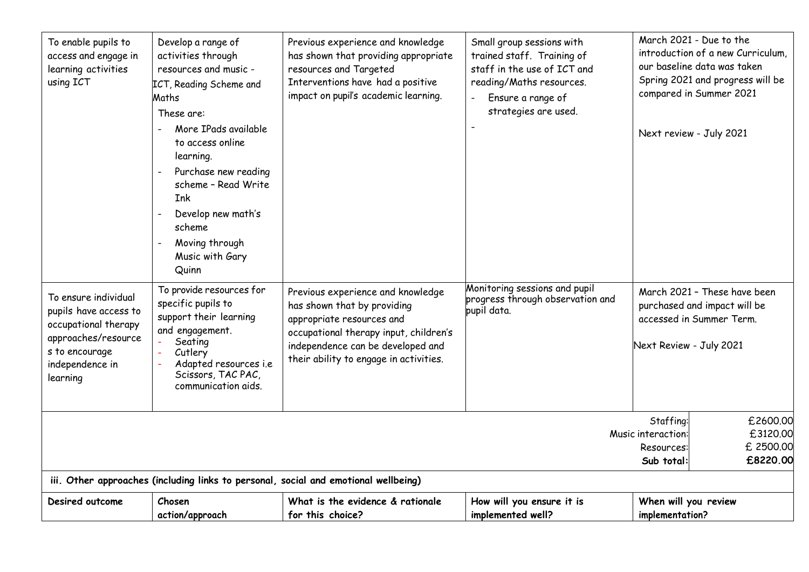| To enable pupils to<br>access and engage in<br>learning activities<br>using ICT                                                                                                                     | Develop a range of<br>activities through<br>resources and music -<br>ICT, Reading Scheme and<br>Maths<br>These are:<br>More IPads available<br>to access online<br>learning.<br>Purchase new reading<br>scheme - Read Write<br><b>Ink</b><br>Develop new math's<br>scheme<br>Moving through<br>Music with Gary<br>Quinn | Previous experience and knowledge<br>has shown that providing appropriate<br>resources and Targeted<br>Interventions have had a positive<br>impact on pupil's academic learning.                                       | Small group sessions with<br>trained staff. Training of<br>staff in the use of ICT and<br>reading/Maths resources.<br>Ensure a range of<br>strategies are used. | Next review - July 2021                 | March 2021 - Due to the<br>introduction of a new Curriculum.<br>our baseline data was taken<br>Spring 2021 and progress will be<br>compared in Summer 2021 |
|-----------------------------------------------------------------------------------------------------------------------------------------------------------------------------------------------------|-------------------------------------------------------------------------------------------------------------------------------------------------------------------------------------------------------------------------------------------------------------------------------------------------------------------------|------------------------------------------------------------------------------------------------------------------------------------------------------------------------------------------------------------------------|-----------------------------------------------------------------------------------------------------------------------------------------------------------------|-----------------------------------------|------------------------------------------------------------------------------------------------------------------------------------------------------------|
| To ensure individual<br>pupils have access to<br>occupational therapy<br>approaches/resource<br>s to encourage<br>independence in<br>learning                                                       | To provide resources for<br>specific pupils to<br>support their learning<br>and engagement.<br>Seating<br>Cutlery<br>Adapted resources i.e<br>Scissors, TAC PAC,<br>communication aids.                                                                                                                                 | Previous experience and knowledge<br>has shown that by providing<br>appropriate resources and<br>occupational therapy input, children's<br>independence can be developed and<br>their ability to engage in activities. | Monitoring sessions and pupil<br>progress through observation and<br>pupil data.                                                                                | Next Review - July 2021                 | March 2021 - These have been<br>purchased and impact will be<br>accessed in Summer Term.                                                                   |
| Staffing:<br>£2600.00<br>£3120.00<br>Music interaction:<br>£ 2500.00<br>Resources:<br>£8220.00<br>Sub total:<br>iii. Other approaches (including links to personal, social and emotional wellbeing) |                                                                                                                                                                                                                                                                                                                         |                                                                                                                                                                                                                        |                                                                                                                                                                 |                                         |                                                                                                                                                            |
| Desired outcome                                                                                                                                                                                     | Chosen<br>action/approach                                                                                                                                                                                                                                                                                               | What is the evidence & rationale<br>for this choice?                                                                                                                                                                   | How will you ensure it is<br>implemented well?                                                                                                                  | When will you review<br>implementation? |                                                                                                                                                            |